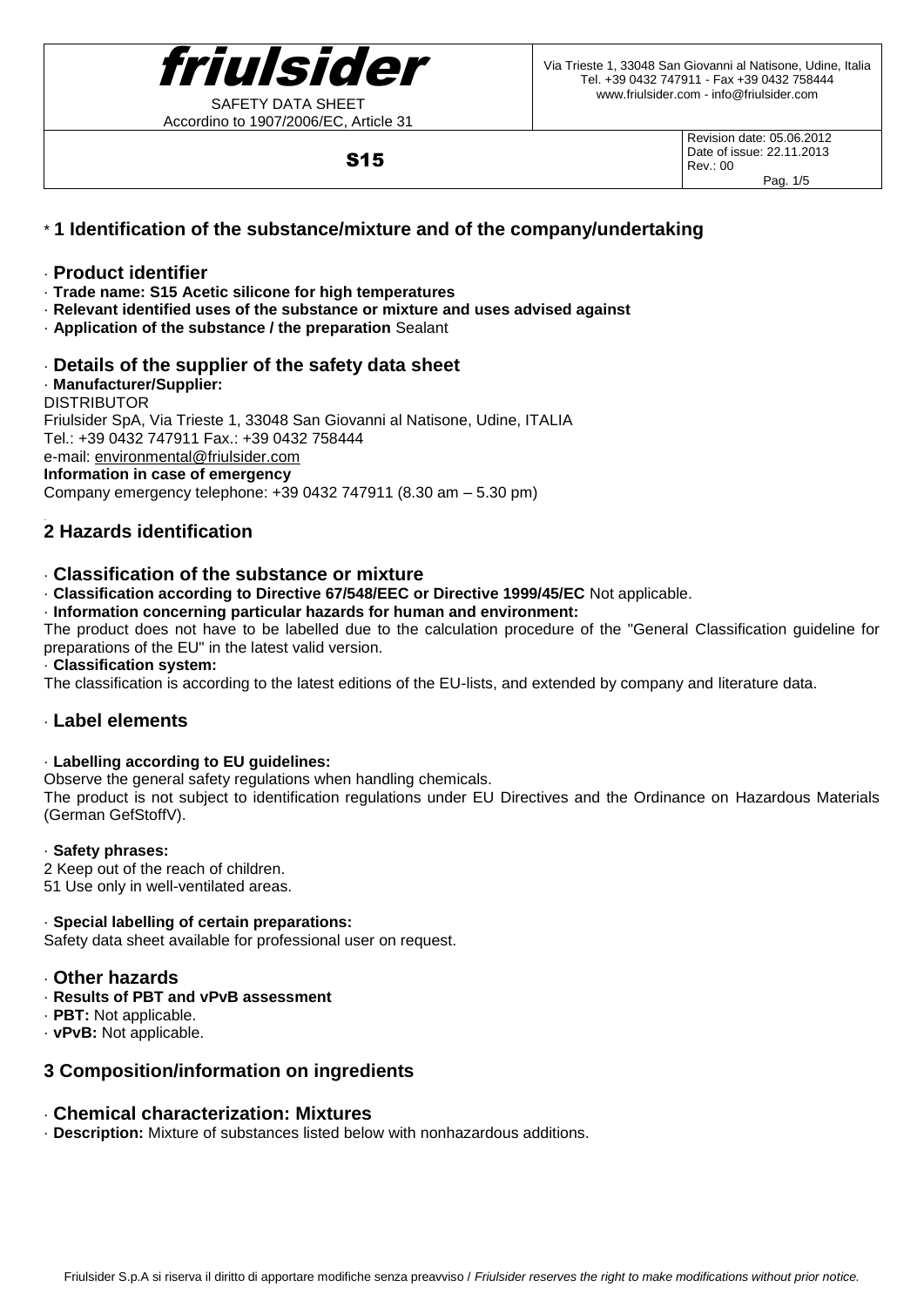

Accordino to 1907/2006/EC, Article 31

S15

Revision date: 05.06.2012 Date of issue: 22.11.2013 Rev.: 00 Pag. 1/5

# \* **1 Identification of the substance/mixture and of the company/undertaking**

## · **Product identifier**

- · **Trade name: S15 Acetic silicone for high temperatures**
- · **Relevant identified uses of the substance or mixture and uses advised against**
- · **Application of the substance / the preparation** Sealant
- · **Details of the supplier of the safety data sheet**

## · **Manufacturer/Supplier:**

DISTRIBUTOR

Friulsider SpA, Via Trieste 1, 33048 San Giovanni al Natisone, Udine, ITALIA Tel.: +39 0432 747911 Fax.: +39 0432 758444 e-mail: [environmental@friulsider.com](mailto:environmental@friulsider.com) **Information in case of emergency**

Company emergency telephone: +39 0432 747911 (8.30 am – 5.30 pm)

# **2 Hazards identification**

## · **Classification of the substance or mixture**

· **Classification according to Directive 67/548/EEC or Directive 1999/45/EC** Not applicable.

· **Information concerning particular hazards for human and environment:**

The product does not have to be labelled due to the calculation procedure of the "General Classification guideline for preparations of the EU" in the latest valid version.

· **Classification system:**

The classification is according to the latest editions of the EU-lists, and extended by company and literature data.

# · **Label elements**

#### · **Labelling according to EU guidelines:**

Observe the general safety regulations when handling chemicals.

The product is not subject to identification regulations under EU Directives and the Ordinance on Hazardous Materials (German GefStoffV).

#### · **Safety phrases:**

- 2 Keep out of the reach of children.
- 51 Use only in well-ventilated areas.

## · **Special labelling of certain preparations:**

Safety data sheet available for professional user on request.

## · **Other hazards**

- · **Results of PBT and vPvB assessment**
- · **PBT:** Not applicable.
- · **vPvB:** Not applicable.

# **3 Composition/information on ingredients**

# · **Chemical characterization: Mixtures**

· **Description:** Mixture of substances listed below with nonhazardous additions.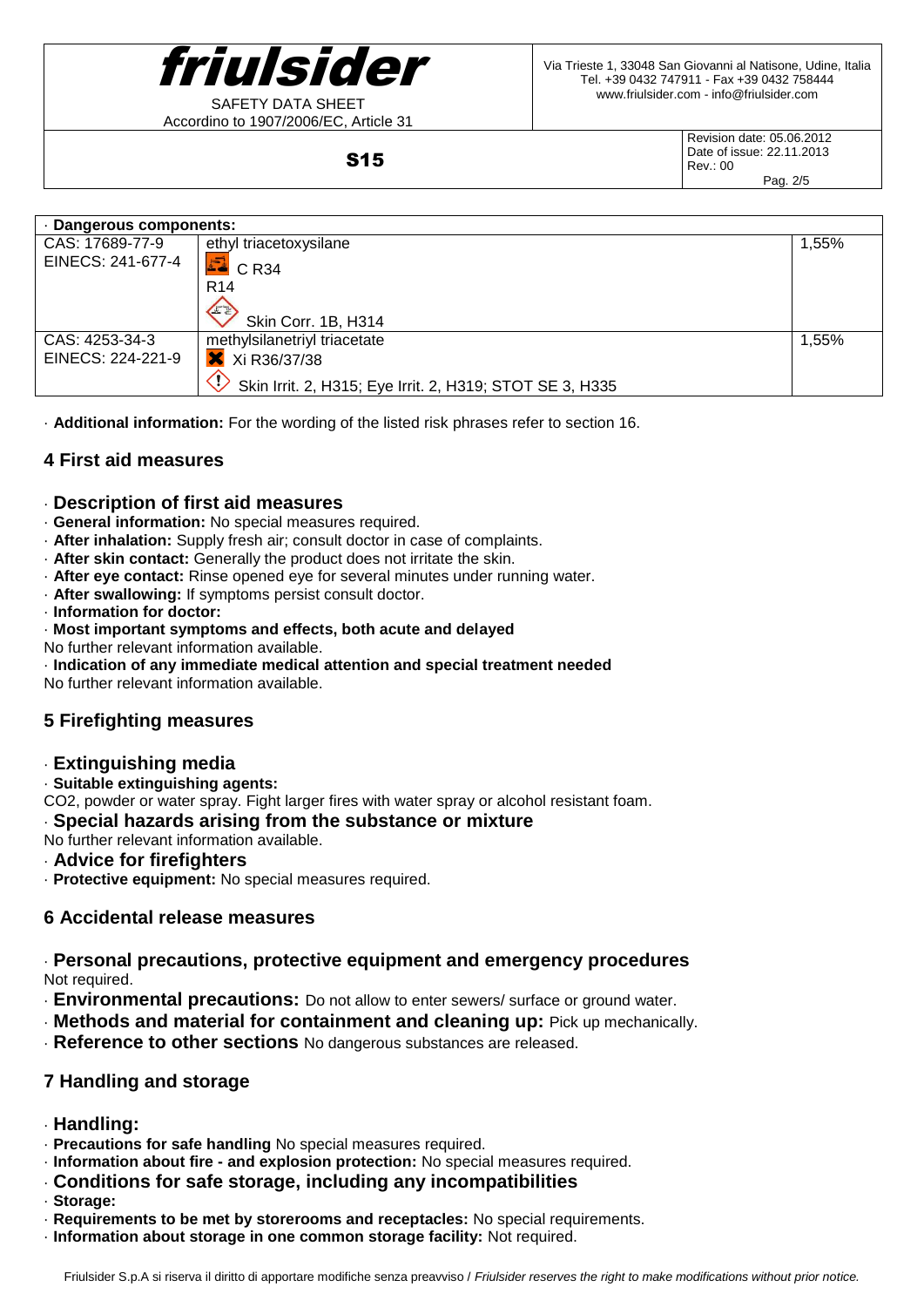

Accordino to 1907/2006/EC, Article 31

Revision date: 05.06.2012 Date of issue: 22.11.2013 Rev.: 00 Pag. 2/5

· **Dangerous components:** CAS: 17689-77-9 ethyl triacetoxysilane 1,55% EINECS: 241-677-4  $E = C R34$ R14 Skin Corr. 1B, H314 CAS: 4253-34-3 methylsilanetriyl triacetate 1,55% EINECS: 224-221-9 **X** Xi R36/37/38  $\langle \cdot \rangle$ Skin Irrit. 2, H315; Eye Irrit. 2, H319; STOT SE 3, H335

· **Additional information:** For the wording of the listed risk phrases refer to section 16.

S15

## **4 First aid measures**

## · **Description of first aid measures**

- · **General information:** No special measures required.
- · **After inhalation:** Supply fresh air; consult doctor in case of complaints.
- · **After skin contact:** Generally the product does not irritate the skin.
- · **After eye contact:** Rinse opened eye for several minutes under running water.
- · **After swallowing:** If symptoms persist consult doctor.
- · **Information for doctor:**
- · **Most important symptoms and effects, both acute and delayed**
- No further relevant information available.
- · **Indication of any immediate medical attention and special treatment needed**

No further relevant information available.

# **5 Firefighting measures**

## · **Extinguishing media**

## · **Suitable extinguishing agents:**

CO2, powder or water spray. Fight larger fires with water spray or alcohol resistant foam.

## · **Special hazards arising from the substance or mixture**

No further relevant information available.

## · **Advice for firefighters**

· **Protective equipment:** No special measures required.

# **6 Accidental release measures**

· **Personal precautions, protective equipment and emergency procedures** Not required.

- · **Environmental precautions:** Do not allow to enter sewers/ surface or ground water.
- · **Methods and material for containment and cleaning up:** Pick up mechanically.
- · **Reference to other sections** No dangerous substances are released.

# **7 Handling and storage**

- · **Handling:**
- · **Precautions for safe handling** No special measures required.
- · **Information about fire - and explosion protection:** No special measures required.
- · **Conditions for safe storage, including any incompatibilities**
- · **Storage:**
- · **Requirements to be met by storerooms and receptacles:** No special requirements.
- · **Information about storage in one common storage facility:** Not required.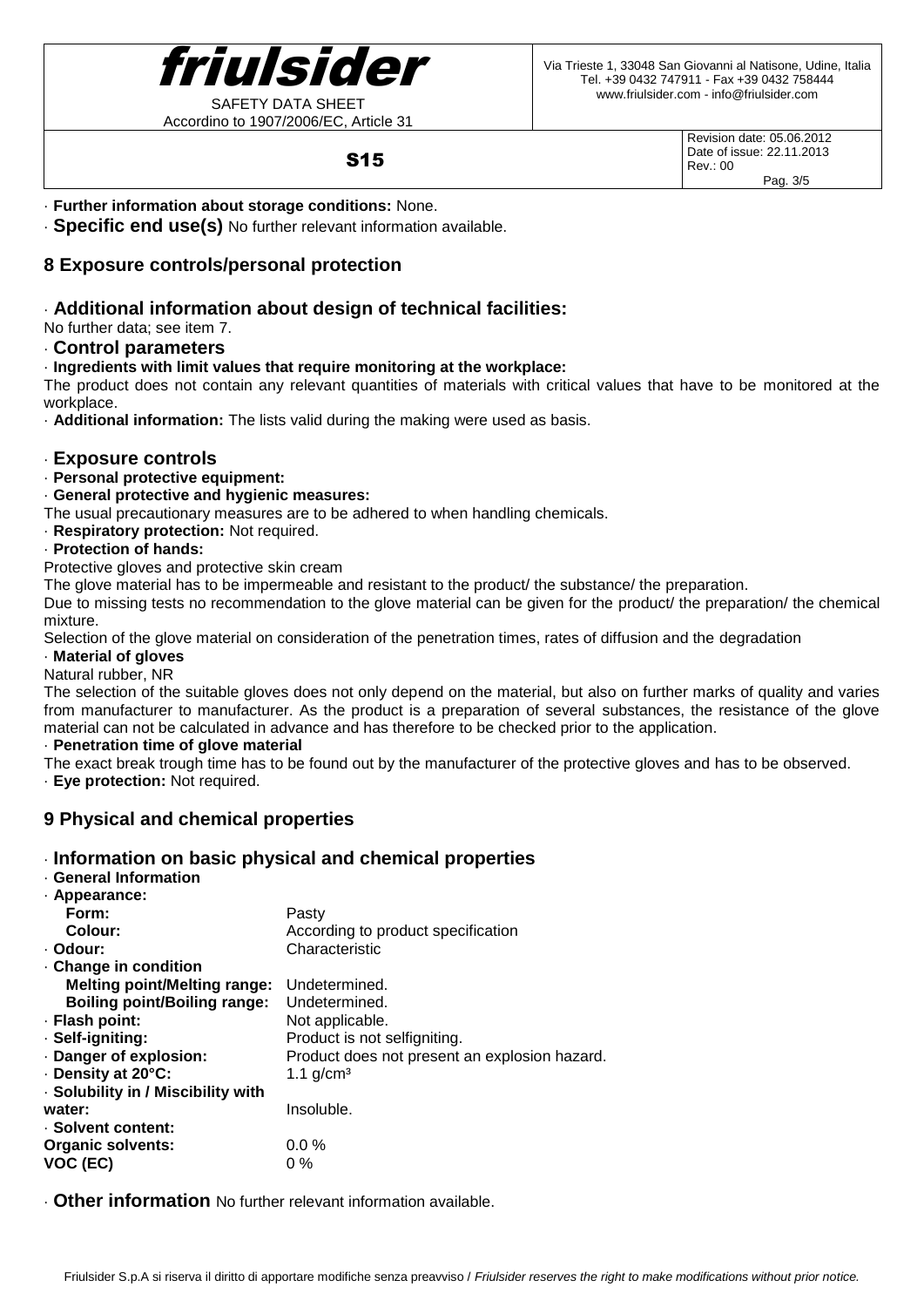

Accordino to 1907/2006/EC, Article 31

Revision date: 05.06.2012 Date of issue: 22.11.2013 Rev.: 00 Pag. 3/5

## S15

· **Further information about storage conditions:** None.

· **Specific end use(s)** No further relevant information available.

# **8 Exposure controls/personal protection**

# · **Additional information about design of technical facilities:**

No further data; see item 7.

### · **Control parameters**

#### · **Ingredients with limit values that require monitoring at the workplace:**

The product does not contain any relevant quantities of materials with critical values that have to be monitored at the workplace.

· **Additional information:** The lists valid during the making were used as basis.

#### · **Exposure controls**

· **Personal protective equipment:**

#### · **General protective and hygienic measures:**

The usual precautionary measures are to be adhered to when handling chemicals.

· **Respiratory protection:** Not required.

## · **Protection of hands:**

Protective gloves and protective skin cream

The glove material has to be impermeable and resistant to the product/ the substance/ the preparation.

Due to missing tests no recommendation to the glove material can be given for the product/ the preparation/ the chemical mixture.

Selection of the glove material on consideration of the penetration times, rates of diffusion and the degradation

# · **Material of gloves**

Natural rubber, NR

The selection of the suitable gloves does not only depend on the material, but also on further marks of quality and varies from manufacturer to manufacturer. As the product is a preparation of several substances, the resistance of the glove material can not be calculated in advance and has therefore to be checked prior to the application.

## · **Penetration time of glove material**

The exact break trough time has to be found out by the manufacturer of the protective gloves and has to be observed.

· **Eye protection:** Not required.

# **9 Physical and chemical properties**

## · **Information on basic physical and chemical properties**

#### · **General Information** · **Appearance:**

| - Appearance:                       |                                               |
|-------------------------------------|-----------------------------------------------|
| Form:                               | Pasty                                         |
| Colour:                             | According to product specification            |
| · Odour:                            | Characteristic                                |
| Change in condition                 |                                               |
| <b>Melting point/Melting range:</b> | Undetermined.                                 |
| <b>Boiling point/Boiling range:</b> | Undetermined.                                 |
| · Flash point:                      | Not applicable.                               |
| · Self-igniting:                    | Product is not selfigniting.                  |
| Danger of explosion:                | Product does not present an explosion hazard. |
| Density at 20°C:                    | 1.1 $q/cm^3$                                  |
| · Solubility in / Miscibility with  |                                               |
| water:                              | Insoluble.                                    |
| · Solvent content:                  |                                               |
| <b>Organic solvents:</b>            | $0.0\%$                                       |
| VOC (EC)                            | $0\%$                                         |

· **Other information** No further relevant information available.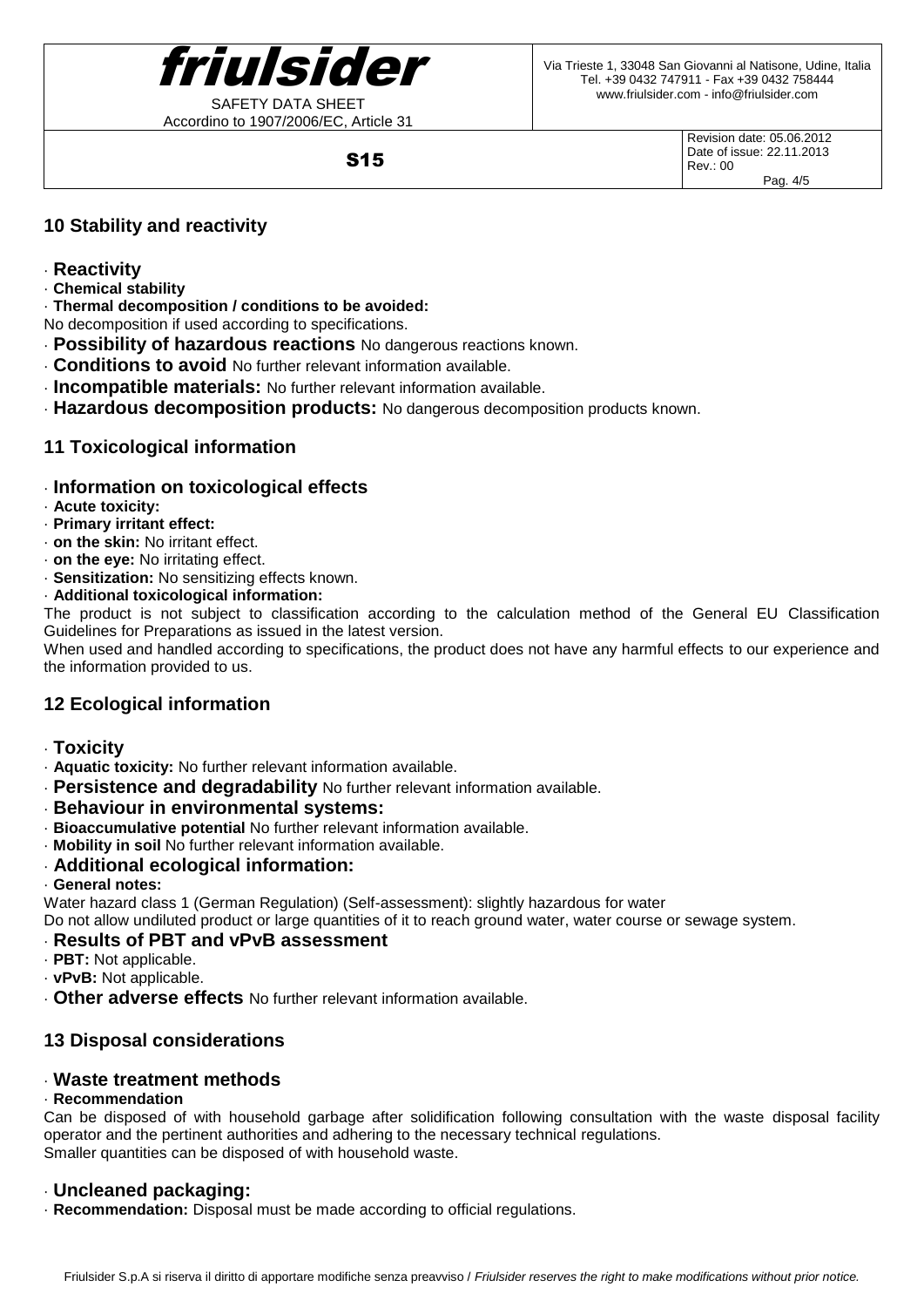

Accordino to 1907/2006/EC, Article 31

Via Trieste 1, 33048 San Giovanni al Natisone, Udine, Italia Tel. +39 0432 747911 - Fax +39 0432 758444 www.friulsider.com - info@friulsider.com

S15

Revision date: 05.06.2012 Date of issue: 22.11.2013 Rev.: 00 Pag. 4/5

# **10 Stability and reactivity**

- · **Reactivity**
- · **Chemical stability**

· **Thermal decomposition / conditions to be avoided:**

No decomposition if used according to specifications.

- · **Possibility of hazardous reactions** No dangerous reactions known.
- · **Conditions to avoid** No further relevant information available.
- · **Incompatible materials:** No further relevant information available.
- · **Hazardous decomposition products:** No dangerous decomposition products known.

# **11 Toxicological information**

# · **Information on toxicological effects**

- · **Acute toxicity:**
- · **Primary irritant effect:**
- · **on the skin:** No irritant effect.
- · **on the eye:** No irritating effect.
- · **Sensitization:** No sensitizing effects known.
- · **Additional toxicological information:**

The product is not subject to classification according to the calculation method of the General EU Classification Guidelines for Preparations as issued in the latest version.

When used and handled according to specifications, the product does not have any harmful effects to our experience and the information provided to us.

# **12 Ecological information**

- · **Toxicity**
- · **Aquatic toxicity:** No further relevant information available.
- **Persistence and degradability** No further relevant information available.
- · **Behaviour in environmental systems:**
- · **Bioaccumulative potential** No further relevant information available.
- · **Mobility in soil** No further relevant information available.
- · **Additional ecological information:**
- · **General notes:**

Water hazard class 1 (German Regulation) (Self-assessment): slightly hazardous for water

Do not allow undiluted product or large quantities of it to reach ground water, water course or sewage system.

# · **Results of PBT and vPvB assessment**

- · **PBT:** Not applicable.
- · **vPvB:** Not applicable.
- · **Other adverse effects** No further relevant information available.

# **13 Disposal considerations**

# · **Waste treatment methods**

## · **Recommendation**

Can be disposed of with household garbage after solidification following consultation with the waste disposal facility operator and the pertinent authorities and adhering to the necessary technical regulations. Smaller quantities can be disposed of with household waste.

# · **Uncleaned packaging:**

· **Recommendation:** Disposal must be made according to official regulations.